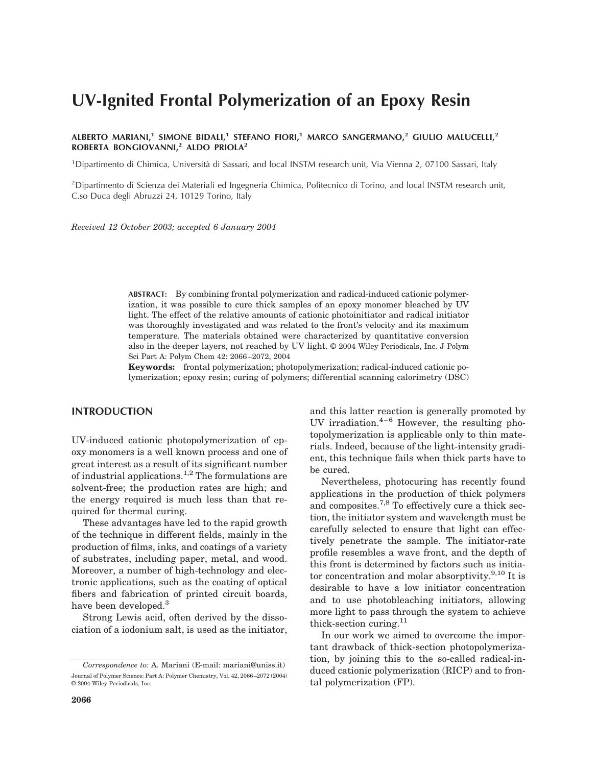# **UV-Ignited Frontal Polymerization of an Epoxy Resin**

**ALBERTO MARIANI,1 SIMONE BIDALI,1 STEFANO FIORI,1 MARCO SANGERMANO,2 GIULIO MALUCELLI,2 ROBERTA BONGIOVANNI,2 ALDO PRIOLA2**

<sup>1</sup>Dipartimento di Chimica, Università di Sassari, and local INSTM research unit, Via Vienna 2, 07100 Sassari, Italy

<sup>2</sup>Dipartimento di Scienza dei Materiali ed Ingegneria Chimica, Politecnico di Torino, and local INSTM research unit, C.so Duca degli Abruzzi 24, 10129 Torino, Italy

*Received 12 October 2003; accepted 6 January 2004*

**ABSTRACT:** By combining frontal polymerization and radical-induced cationic polymerization, it was possible to cure thick samples of an epoxy monomer bleached by UV light. The effect of the relative amounts of cationic photoinitiator and radical initiator was thoroughly investigated and was related to the front's velocity and its maximum temperature. The materials obtained were characterized by quantitative conversion also in the deeper layers, not reached by UV light. © 2004 Wiley Periodicals, Inc. J Polym Sci Part A: Polym Chem 42: 2066 –2072, 2004

**Keywords:** frontal polymerization; photopolymerization; radical-induced cationic polymerization; epoxy resin; curing of polymers; differential scanning calorimetry (DSC)

## **INTRODUCTION**

UV-induced cationic photopolymerization of epoxy monomers is a well known process and one of great interest as a result of its significant number of industrial applications.<sup>1,2</sup> The formulations are solvent-free; the production rates are high; and the energy required is much less than that required for thermal curing.

These advantages have led to the rapid growth of the technique in different fields, mainly in the production of films, inks, and coatings of a variety of substrates, including paper, metal, and wood. Moreover, a number of high-technology and electronic applications, such as the coating of optical fibers and fabrication of printed circuit boards, have been developed.<sup>3</sup>

Strong Lewis acid, often derived by the dissociation of a iodonium salt, is used as the initiator, and this latter reaction is generally promoted by UV irradiation. $4-6$  However, the resulting photopolymerization is applicable only to thin materials. Indeed, because of the light-intensity gradient, this technique fails when thick parts have to be cured.

Nevertheless, photocuring has recently found applications in the production of thick polymers and composites.7,8 To effectively cure a thick section, the initiator system and wavelength must be carefully selected to ensure that light can effectively penetrate the sample. The initiator-rate profile resembles a wave front, and the depth of this front is determined by factors such as initiator concentration and molar absorptivity. $9,10$  It is desirable to have a low initiator concentration and to use photobleaching initiators, allowing more light to pass through the system to achieve thick-section curing. $^{11}$ 

In our work we aimed to overcome the important drawback of thick-section photopolymerization, by joining this to the so-called radical-induced cationic polymerization (RICP) and to frontal polymerization (FP).

*Correspondence to:* A. Mariani (E-mail: mariani@uniss.it) Journal of Polymer Science: Part A: Polymer Chemistry, Vol. 42, 2066 –2072 (2004) © 2004 Wiley Periodicals, Inc.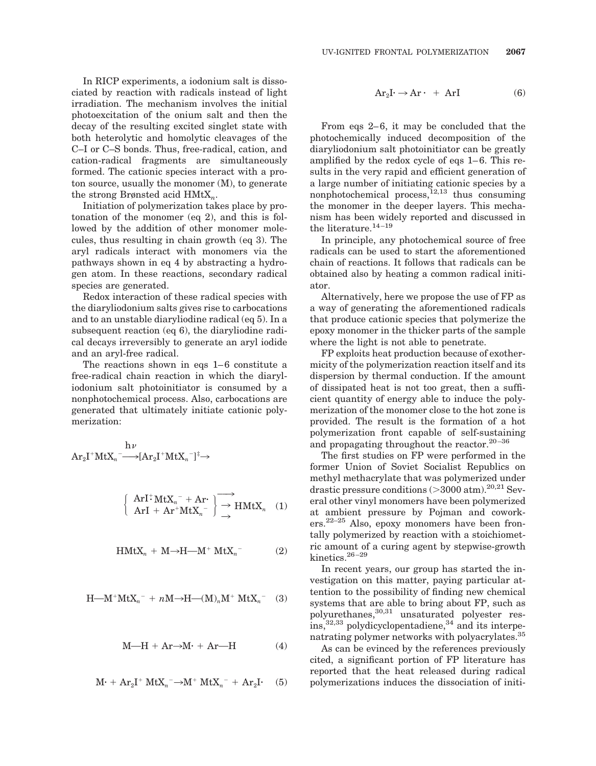In RICP experiments, a iodonium salt is dissociated by reaction with radicals instead of light irradiation. The mechanism involves the initial photoexcitation of the onium salt and then the decay of the resulting excited singlet state with both heterolytic and homolytic cleavages of the C–I or C–S bonds. Thus, free-radical, cation, and cation-radical fragments are simultaneously formed. The cationic species interact with a proton source, usually the monomer (M), to generate the strong Brønsted acid HMtX*n*.

Initiation of polymerization takes place by protonation of the monomer (eq 2), and this is followed by the addition of other monomer molecules, thus resulting in chain growth (eq 3). The aryl radicals interact with monomers via the pathways shown in eq 4 by abstracting a hydrogen atom. In these reactions, secondary radical species are generated.

Redox interaction of these radical species with the diaryliodonium salts gives rise to carbocations and to an unstable diaryliodine radical (eq 5). In a subsequent reaction (eq 6), the diaryliodine radical decays irreversibly to generate an aryl iodide and an aryl-free radical.

The reactions shown in eqs  $1-6$  constitute a free-radical chain reaction in which the diaryliodonium salt photoinitiator is consumed by a nonphotochemical process. Also, carbocations are generated that ultimately initiate cationic polymerization:

$$
\begin{array}{c} h \nu \\ Ar_2I^+MtX_n \overrightarrow{\hspace{1cm}} \longrightarrow \hspace{-3.5cm} [Ar_2I^+MtX_n^-]^{\ddagger} \rightarrow \end{array}
$$

$$
\left\{\n\begin{array}{l}\n\text{ArI}^+ \text{MtX}_n^- + \text{Ar}^* \\
\text{ArI} + \text{Ar}^+ \text{MtX}_n^-\n\end{array}\n\right\} \longrightarrow_{\rightarrow} \text{HMtX}_n \quad (1)
$$

$$
H M t X_n + M \rightarrow H - M^+ M t X_n^-
$$
 (2)

$$
H-M^+MtX_n^- + nM \rightarrow H-(M)_nM^+MtX_n^-
$$
 (3)

$$
M-H + Ar \rightarrow M \cdot + Ar - H \tag{4}
$$

$$
M+ + Ar2I+ MtXn- \rightarrow M+ MtXn- + Ar2I. (5)
$$

$$
Ar_2I \rightarrow Ar \cdot + ArI \tag{6}
$$

From eqs 2–6, it may be concluded that the photochemically induced decomposition of the diaryliodonium salt photoinitiator can be greatly amplified by the redox cycle of eqs  $1-6$ . This results in the very rapid and efficient generation of a large number of initiating cationic species by a nonphotochemical process, $12,13$  thus consuming the monomer in the deeper layers. This mechanism has been widely reported and discussed in the literature. $14-19$ 

In principle, any photochemical source of free radicals can be used to start the aforementioned chain of reactions. It follows that radicals can be obtained also by heating a common radical initiator.

Alternatively, here we propose the use of FP as a way of generating the aforementioned radicals that produce cationic species that polymerize the epoxy monomer in the thicker parts of the sample where the light is not able to penetrate.

FP exploits heat production because of exothermicity of the polymerization reaction itself and its dispersion by thermal conduction. If the amount of dissipated heat is not too great, then a sufficient quantity of energy able to induce the polymerization of the monomer close to the hot zone is provided. The result is the formation of a hot polymerization front capable of self-sustaining and propagating throughout the reactor.<sup>20-36</sup>

The first studies on FP were performed in the former Union of Soviet Socialist Republics on methyl methacrylate that was polymerized under drastic pressure conditions  $(>3000 \text{ atm}).^{20,21}$  Several other vinyl monomers have been polymerized at ambient pressure by Pojman and cowork- $\text{ers.}^{22-25}$  Also, epoxy monomers have been frontally polymerized by reaction with a stoichiometric amount of a curing agent by stepwise-growth kinetics.<sup>26-29</sup>

In recent years, our group has started the investigation on this matter, paying particular attention to the possibility of finding new chemical systems that are able to bring about FP, such as polyurethanes, 30,31 unsaturated polyester res- $\text{ins,}^{32,33}$  polydicyclopentadiene,<sup>34</sup> and its interpenatrating polymer networks with polyacrylates.<sup>35</sup>

As can be evinced by the references previously cited, a significant portion of FP literature has reported that the heat released during radical polymerizations induces the dissociation of initi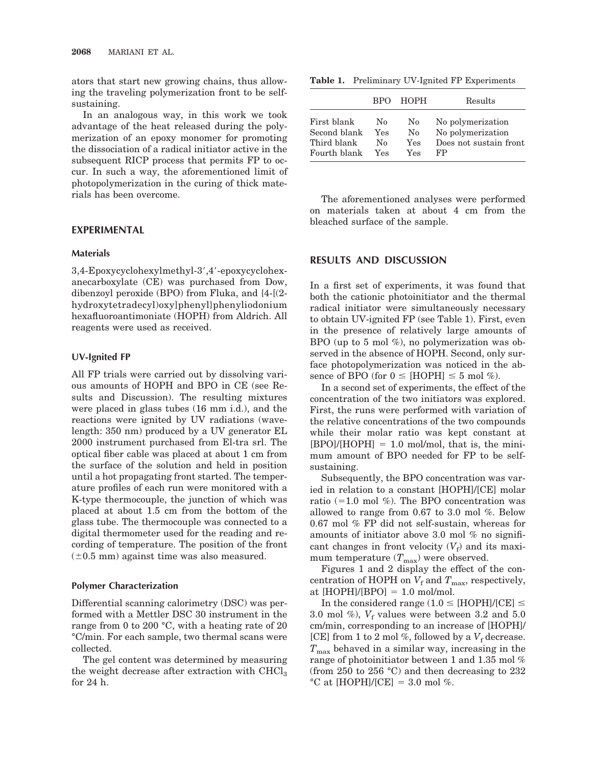ators that start new growing chains, thus allowing the traveling polymerization front to be selfsustaining.

In an analogous way, in this work we took advantage of the heat released during the polymerization of an epoxy monomer for promoting the dissociation of a radical initiator active in the subsequent RICP process that permits FP to occur. In such a way, the aforementioned limit of photopolymerization in the curing of thick materials has been overcome.

## **EXPERIMENTAL**

## **Materials**

3,4-Epoxycyclohexylmethyl-3,4-epoxycyclohexanecarboxylate (CE) was purchased from Dow, dibenzoyl peroxide (BPO) from Fluka, and {4-[(2 hydroxytetradecyl)oxy]phenyl}phenyliodonium hexafluoroantimoniate (HOPH) from Aldrich. All reagents were used as received.

#### **UV-Ignited FP**

All FP trials were carried out by dissolving various amounts of HOPH and BPO in CE (see Results and Discussion). The resulting mixtures were placed in glass tubes (16 mm i.d.), and the reactions were ignited by UV radiations (wavelength: 350 nm) produced by a UV generator EL 2000 instrument purchased from El-tra srl. The optical fiber cable was placed at about 1 cm from the surface of the solution and held in position until a hot propagating front started. The temperature profiles of each run were monitored with a K-type thermocouple, the junction of which was placed at about 1.5 cm from the bottom of the glass tube. The thermocouple was connected to a digital thermometer used for the reading and recording of temperature. The position of the front  $(\pm 0.5 \text{ mm})$  against time was also measured.

# **Polymer Characterization**

Differential scanning calorimetry (DSC) was performed with a Mettler DSC 30 instrument in the range from 0 to 200 °C, with a heating rate of 20 °C/min. For each sample, two thermal scans were collected.

The gel content was determined by measuring the weight decrease after extraction with CHCl<sub>3</sub> for 24 h.

**Table 1.** Preliminary UV-Ignited FP Experiments

|              | <b>RPO</b> | HOPH | Results                |
|--------------|------------|------|------------------------|
| First blank  | No         | No   | No polymerization      |
| Second blank | Yes        | No.  | No polymerization      |
| Third blank  | Nο         | Yes  | Does not sustain front |
| Fourth blank | Yes        | Yes  | FP                     |

The aforementioned analyses were performed on materials taken at about 4 cm from the bleached surface of the sample.

# **RESULTS AND DISCUSSION**

In a first set of experiments, it was found that both the cationic photoinitiator and the thermal radical initiator were simultaneously necessary to obtain UV-ignited FP (see Table 1). First, even in the presence of relatively large amounts of BPO (up to 5 mol  $\%$ ), no polymerization was observed in the absence of HOPH. Second, only surface photopolymerization was noticed in the absence of BPO (for  $0 \leq$  [HOPH]  $\leq$  5 mol %).

In a second set of experiments, the effect of the concentration of the two initiators was explored. First, the runs were performed with variation of the relative concentrations of the two compounds while their molar ratio was kept constant at  $[BPO]/[HOPH] = 1.0$  mol/mol, that is, the minimum amount of BPO needed for FP to be selfsustaining.

Subsequently, the BPO concentration was varied in relation to a constant [HOPH]/[CE] molar ratio  $(=1.0 \text{ mol } \%)$ . The BPO concentration was allowed to range from 0.67 to 3.0 mol %. Below 0.67 mol % FP did not self-sustain, whereas for amounts of initiator above 3.0 mol  $%$  no significant changes in front velocity  $(V_f)$  and its maximum temperature  $(T_{\text{max}})$  were observed.

Figures 1 and 2 display the effect of the concentration of HOPH on  $V_f$  and  $T_{\text{max}}$ , respectively, at  $[HOPH]/[BPO] = 1.0$  mol/mol.

In the considered range (1.0  $\leq$  [HOPH]/[CE]  $\leq$ 3.0 mol %),  $V_f$  values were between 3.2 and 5.0 cm/min, corresponding to an increase of [HOPH]/ [CE] from 1 to 2 mol %, followed by a  $V_f$  decrease.  $T_{\text{max}}$  behaved in a similar way, increasing in the range of photoinitiator between 1 and 1.35 mol % (from 250 to 256 °C) and then decreasing to 232 °C at [HOPH]/[CE] = 3.0 mol %.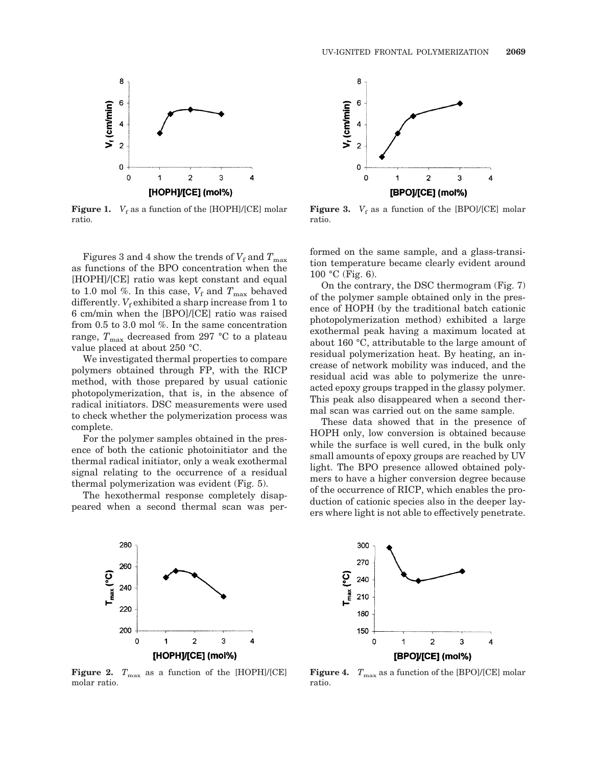

**Figure 1.**  $V_f$  as a function of the [HOPH]/[CE] molar ratio.

Figures 3 and 4 show the trends of  $V_f$  and  $T_{\text{max}}$ as functions of the BPO concentration when the [HOPH]/[CE] ratio was kept constant and equal to 1.0 mol %. In this case,  $V_f$  and  $T_{\text{max}}$  behaved differently.  $V_f$  exhibited a sharp increase from 1 to 6 cm/min when the [BPO]/[CE] ratio was raised from 0.5 to 3.0 mol %. In the same concentration range,  $T_{\rm max}$  decreased from 297 °C to a plateau value placed at about 250 °C.

We investigated thermal properties to compare polymers obtained through FP, with the RICP method, with those prepared by usual cationic photopolymerization, that is, in the absence of radical initiators. DSC measurements were used to check whether the polymerization process was complete.

For the polymer samples obtained in the presence of both the cationic photoinitiator and the thermal radical initiator, only a weak exothermal signal relating to the occurrence of a residual thermal polymerization was evident (Fig. 5).

The hexothermal response completely disappeared when a second thermal scan was per-



**Figure 3.**  $V_f$  as a function of the [BPO]/[CE] molar ratio.

formed on the same sample, and a glass-transition temperature became clearly evident around 100 °C (Fig. 6).

On the contrary, the DSC thermogram (Fig. 7) of the polymer sample obtained only in the presence of HOPH (by the traditional batch cationic photopolymerization method) exhibited a large exothermal peak having a maximum located at about 160 °C, attributable to the large amount of residual polymerization heat. By heating, an increase of network mobility was induced, and the residual acid was able to polymerize the unreacted epoxy groups trapped in the glassy polymer. This peak also disappeared when a second thermal scan was carried out on the same sample.

These data showed that in the presence of HOPH only, low conversion is obtained because while the surface is well cured, in the bulk only small amounts of epoxy groups are reached by UV light. The BPO presence allowed obtained polymers to have a higher conversion degree because of the occurrence of RICP, which enables the production of cationic species also in the deeper layers where light is not able to effectively penetrate.



**Figure 2.**  $T_{\text{max}}$  as a function of the [HOPH]/[CE] molar ratio.



**Figure 4.**  $T_{\text{max}}$  as a function of the [BPO]/[CE] molar ratio.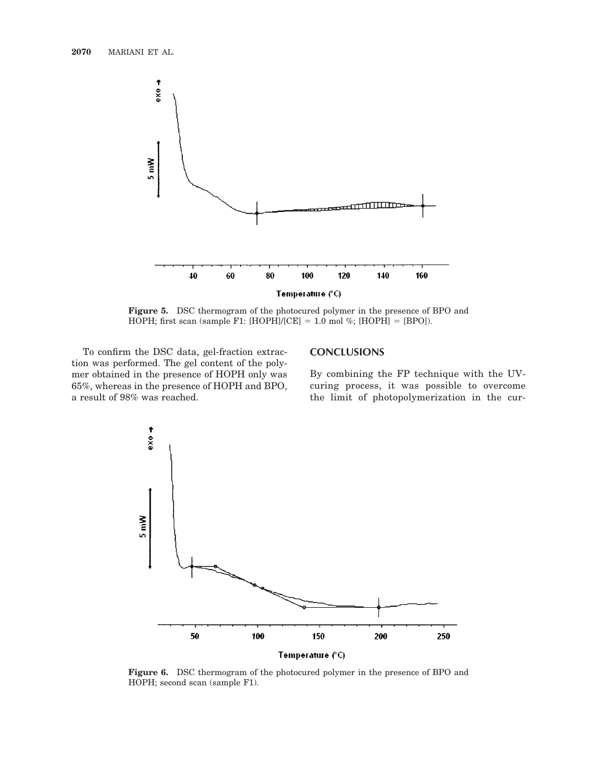

**Figure 5.** DSC thermogram of the photocured polymer in the presence of BPO and HOPH; first scan (sample F1: [HOPH]/[CE] = 1.0 mol %; [HOPH] = [BPO]).

To confirm the DSC data, gel-fraction extraction was performed. The gel content of the polymer obtained in the presence of HOPH only was 65%, whereas in the presence of HOPH and BPO, a result of 98% was reached.

# **CONCLUSIONS**

By combining the FP technique with the UVcuring process, it was possible to overcome the limit of photopolymerization in the cur-



**Figure 6.** DSC thermogram of the photocured polymer in the presence of BPO and HOPH; second scan (sample F1).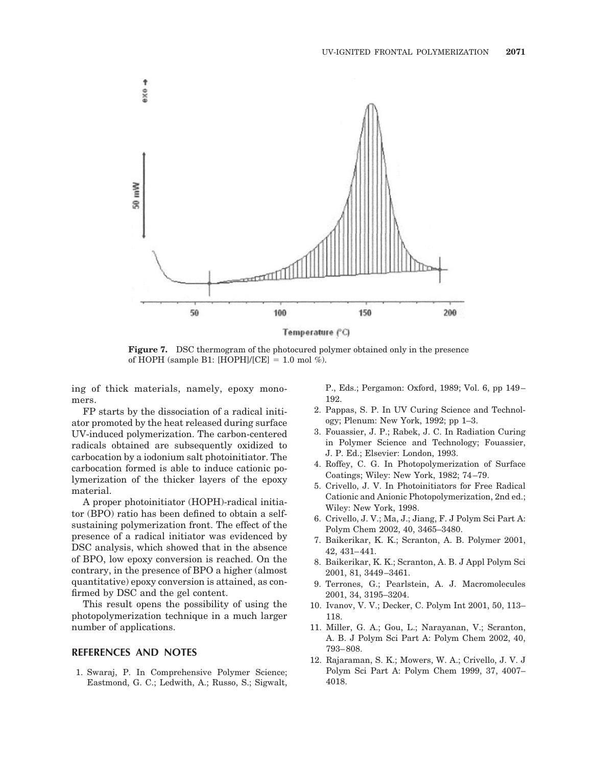

**Figure 7.** DSC thermogram of the photocured polymer obtained only in the presence of HOPH (sample B1: [HOPH]/[CE] = 1.0 mol %).

ing of thick materials, namely, epoxy monomers.

FP starts by the dissociation of a radical initiator promoted by the heat released during surface UV-induced polymerization. The carbon-centered radicals obtained are subsequently oxidized to carbocation by a iodonium salt photoinitiator. The carbocation formed is able to induce cationic polymerization of the thicker layers of the epoxy material.

A proper photoinitiator (HOPH)-radical initiator (BPO) ratio has been defined to obtain a selfsustaining polymerization front. The effect of the presence of a radical initiator was evidenced by DSC analysis, which showed that in the absence of BPO, low epoxy conversion is reached. On the contrary, in the presence of BPO a higher (almost quantitative) epoxy conversion is attained, as confirmed by DSC and the gel content.

This result opens the possibility of using the photopolymerization technique in a much larger number of applications.

# **REFERENCES AND NOTES**

1. Swaraj, P. In Comprehensive Polymer Science; Eastmond, G. C.; Ledwith, A.; Russo, S.; Sigwalt, P., Eds.; Pergamon: Oxford, 1989; Vol. 6, pp 149 – 192.

- 2. Pappas, S. P. In UV Curing Science and Technology; Plenum: New York, 1992; pp 1–3.
- 3. Fouassier, J. P.; Rabek, J. C. In Radiation Curing in Polymer Science and Technology; Fouassier, J. P. Ed.; Elsevier: London, 1993.
- 4. Roffey, C. G. In Photopolymerization of Surface Coatings; Wiley: New York, 1982; 74 –79.
- 5. Crivello, J. V. In Photoinitiators for Free Radical Cationic and Anionic Photopolymerization, 2nd ed.; Wiley: New York, 1998.
- 6. Crivello, J. V.; Ma, J.; Jiang, F. J Polym Sci Part A: Polym Chem 2002, 40, 3465–3480.
- 7. Baikerikar, K. K.; Scranton, A. B. Polymer 2001, 42, 431– 441.
- 8. Baikerikar, K. K.; Scranton, A. B. J Appl Polym Sci 2001, 81, 3449 –3461.
- 9. Terrones, G.; Pearlstein, A. J. Macromolecules 2001, 34, 3195–3204.
- 10. Ivanov, V. V.; Decker, C. Polym Int 2001, 50, 113– 118.
- 11. Miller, G. A.; Gou, L.; Narayanan, V.; Scranton, A. B. J Polym Sci Part A: Polym Chem 2002, 40, 793– 808.
- 12. Rajaraman, S. K.; Mowers, W. A.; Crivello, J. V. J Polym Sci Part A: Polym Chem 1999, 37, 4007– 4018.